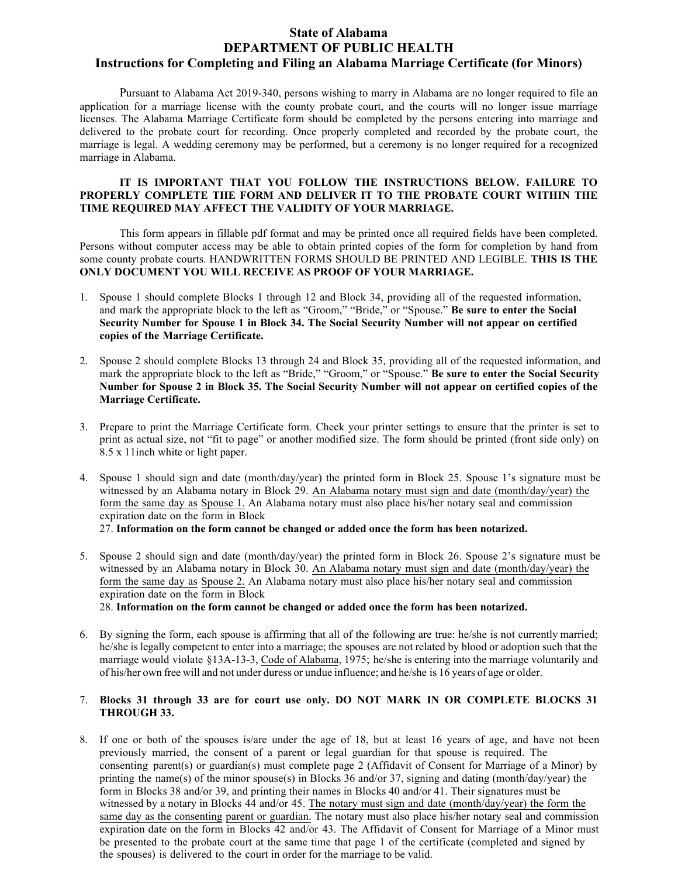# **State of Alabama DEPARTMENT OF PUBLIC HEALTH Instructions for Completing and Filing an Alabama Marriage Certificate (for Minors)**

Pursuant to Alabama Act 2019-340, persons wishing to marry in Alabama are no longer required to file an application for a marriage license with the county probate court, and the courts will no longer issue marriage licenses. The Alabama Marriage Certificate form should be completed by the persons entering into marriage and delivered to the probate court for recording. Once properly completed and recorded by the probate court, the marriage is legal. A wedding ceremony may be performed, but a ceremony is no longer required for a recognized marriage in Alabama.

#### **IT IS IMPORTANT THAT YOU FOLLOW THE INSTRUCTIONS BELOW. FAILURE TO PROPERLY COMPLETE THE FORM AND DELIVER IT TO THE PROBATE COURT WITHIN THE TIME REQUIRED MAY AFFECT THE VALIDITY OF YOUR MARRIAGE.**

This form appears in fillable pdf format and may be printed once all required fields have been completed. Persons without computer access may be able to obtain printed copies of the form for completion by hand from some county probate courts. HANDWRITTEN FORMS SHOULD BE PRINTED AND LEGIBLE. **THIS IS THE ONLY DOCUMENT YOU WILL RECEIVE AS PROOF OF YOUR MARRIAGE.**

- 1. Spouse 1 should complete Blocks 1 through 12 and Block 34, providing all of the requested information, and mark the appropriate block to the left as "Groom," "Bride," or "Spouse." **Be sure to enter the Social Security Number for Spouse 1 in Block 34. The Social Security Number will not appear on certified copies of the Marriage Certificate.**
- 2. Spouse 2 should complete Blocks 13 through 24 and Block 35, providing all of the requested information, and mark the appropriate block to the left as "Bride," "Groom," or "Spouse." **Be sure to enter the Social Security Number for Spouse 2 in Block 35. The Social Security Number will not appear on certified copies of the Marriage Certificate.**
- 3. Prepare to print the Marriage Certificate form. Check your printer settings to ensure that the printer is set to print as actual size, not "fit to page" or another modified size. The form should be printed (front side only) on 8.5 x 11inch white or light paper.
- 4. Spouse 1 should sign and date (month/day/year) the printed form in Block 25. Spouse 1's signature must be witnessed by an Alabama notary in Block 29. An Alabama notary must sign and date (month/day/year) the form the same day as Spouse 1. An Alabama notary must also place his/her notary seal and commission expiration date on the form in Block

27. **Information on the form cannot be changed or added once the form has been notarized.**

5. Spouse 2 should sign and date (month/day/year) the printed form in Block 26. Spouse 2's signature must be witnessed by an Alabama notary in Block 30. An Alabama notary must sign and date (month/day/year) the form the same day as Spouse 2. An Alabama notary must also place his/her notary seal and commission expiration date on the form in Block

28. **Information on the form cannot be changed or added once the form has been notarized.**

6. By signing the form, each spouse is affirming that all of the following are true: he/she is not currently married; he/she is legally competent to enter into a marriage; the spouses are not related by blood or adoption such that the marriage would violate §13A-13-3, Code of Alabama, 1975; he/she is entering into the marriage voluntarily and of his/her own free will and not under duress or undue influence; and he/she is 16 years of age or older.

### 7. **Blocks 31 through 33 are for court use only. DO NOT MARK IN OR COMPLETE BLOCKS 31 THROUGH 33.**

8. If one or both of the spouses is/are under the age of 18, but at least 16 years of age, and have not been previously married, the consent of a parent or legal guardian for that spouse is required. The consenting parent(s) or guardian(s) must complete page 2 (Affidavit of Consent for Marriage of a Minor) by printing the name(s) of the minor spouse(s) in Blocks 36 and/or 37, signing and dating (month/day/year) the form in Blocks 38 and/or 39, and printing their names in Blocks 40 and/or 41. Their signatures must be witnessed by a notary in Blocks 44 and/or 45. The notary must sign and date (month/day/year) the form the same day as the consenting parent or guardian. The notary must also place his/her notary seal and commission expiration date on the form in Blocks 42 and/or 43. The Affidavit of Consent for Marriage of a Minor must be presented to the probate court at the same time that page 1 of the certificate (completed and signed by the spouses) is delivered to the court in order for the marriage to be valid.